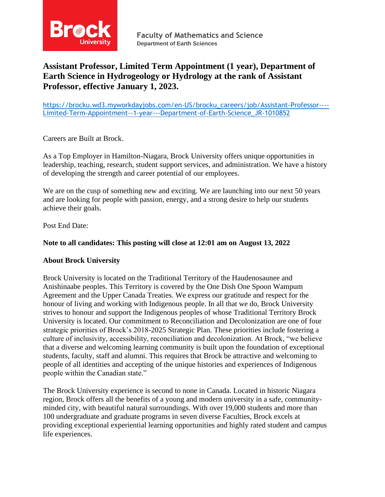

# **Assistant Professor, Limited Term Appointment (1 year), Department of Earth Science in Hydrogeology or Hydrology at the rank of Assistant Professor, effective January 1, 2023.**

[https://brocku.wd3.myworkdayjobs.com/en-US/brocku\\_careers/job/Assistant-Professor----](https://brocku.wd3.myworkdayjobs.com/en-US/brocku_careers/job/Assistant-Professor----Limited-Term-Appointment--1-year---Department-of-Earth-Science_JR-1010852) [Limited-Term-Appointment--1-year---Department-of-Earth-Science\\_JR-1010852](https://brocku.wd3.myworkdayjobs.com/en-US/brocku_careers/job/Assistant-Professor----Limited-Term-Appointment--1-year---Department-of-Earth-Science_JR-1010852)

Careers are Built at Brock.

As a Top Employer in Hamilton-Niagara, Brock University offers unique opportunities in leadership, teaching, research, student support services, and administration. We have a history of developing the strength and career potential of our employees.

We are on the cusp of something new and exciting. We are launching into our next 50 years and are looking for people with passion, energy, and a strong desire to help our students achieve their goals.

Post End Date:

## **Note to all candidates: This posting will close at 12:01 am on August 13, 2022**

## **About Brock University**

Brock University is located on the Traditional Territory of the Haudenosaunee and Anishinaabe peoples. This Territory is covered by the One Dish One Spoon Wampum Agreement and the Upper Canada Treaties. We express our gratitude and respect for the honour of living and working with Indigenous people. In all that we do, Brock University strives to honour and support the Indigenous peoples of whose Traditional Territory Brock University is located. Our commitment to Reconciliation and Decolonization are one of four strategic priorities of Brock's 2018-2025 Strategic Plan. These priorities include fostering a culture of inclusivity, accessibility, reconciliation and decolonization. At Brock, "we believe that a diverse and welcoming learning community is built upon the foundation of exceptional students, faculty, staff and alumni. This requires that Brock be attractive and welcoming to people of all identities and accepting of the unique histories and experiences of Indigenous people within the Canadian state."

The Brock University experience is second to none in Canada. Located in historic Niagara region, Brock offers all the benefits of a young and modern university in a safe, communityminded city, with beautiful natural surroundings. With over 19,000 students and more than 100 undergraduate and graduate programs in seven diverse Faculties, Brock excels at providing exceptional experiential learning opportunities and highly rated student and campus life experiences.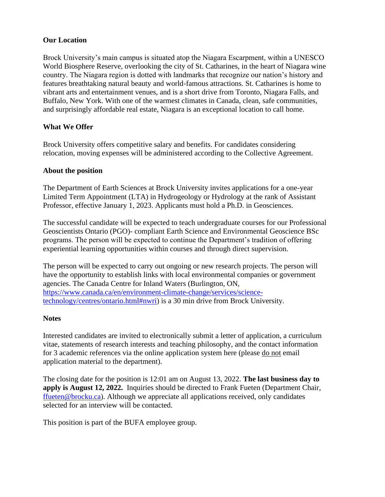## **Our Location**

Brock University's main campus is situated atop the Niagara Escarpment, within a UNESCO World Biosphere Reserve, overlooking the city of St. Catharines, in the heart of Niagara wine country. The Niagara region is dotted with landmarks that recognize our nation's history and features breathtaking natural beauty and world-famous attractions. St. Catharines is home to vibrant arts and entertainment venues, and is a short drive from Toronto, Niagara Falls, and Buffalo, New York. With one of the warmest climates in Canada, clean, safe communities, and surprisingly affordable real estate, Niagara is an exceptional location to call home.

# **What We Offer**

Brock University offers competitive salary and benefits. For candidates considering relocation, moving expenses will be administered according to the Collective Agreement.

## **About the position**

The Department of Earth Sciences at Brock University invites applications for a one-year Limited Term Appointment (LTA) in Hydrogeology or Hydrology at the rank of Assistant Professor, effective January 1, 2023. Applicants must hold a Ph.D. in Geosciences.

The successful candidate will be expected to teach undergraduate courses for our Professional Geoscientists Ontario (PGO)- compliant Earth Science and Environmental Geoscience BSc programs. The person will be expected to continue the Department's tradition of offering experiential learning opportunities within courses and through direct supervision.

The person will be expected to carry out ongoing or new research projects. The person will have the opportunity to establish links with local environmental companies or government agencies. The Canada Centre for Inland Waters (Burlington, ON, [https://www.canada.ca/en/environment-climate-change/services/science](https://www.canada.ca/en/environment-climate-change/services/science-technology/centres/ontario.html#nwri)[technology/centres/ontario.html#nwri\)](https://www.canada.ca/en/environment-climate-change/services/science-technology/centres/ontario.html#nwri) is a 30 min drive from Brock University.

## **Notes**

Interested candidates are invited to electronically submit a letter of application, a curriculum vitae, statements of research interests and teaching philosophy, and the contact information for 3 academic references via the online application system here (please do not email application material to the department).

The closing date for the position is 12:01 am on August 13, 2022. **The last business day to apply is August 12, 2022.** Inquiries should be directed to Frank Fueten (Department Chair, [ffueten@brocku.ca\)](http://ffueten@brocku.ca). Although we appreciate all applications received, only candidates selected for an interview will be contacted.

This position is part of the BUFA employee group.